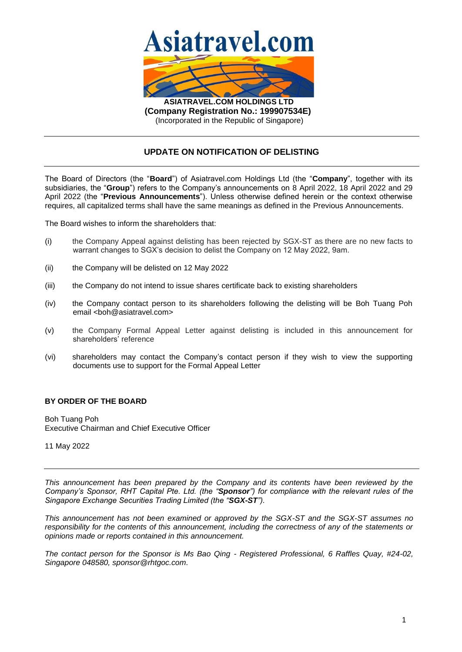

**(Company Registration No.: 199907534E)** (Incorporated in the Republic of Singapore)

## **UPDATE ON NOTIFICATION OF DELISTING**

The Board of Directors (the "**Board**") of Asiatravel.com Holdings Ltd (the "**Company**", together with its subsidiaries, the "**Group**") refers to the Company's announcements on 8 April 2022, 18 April 2022 and 29 April 2022 (the "**Previous Announcements**"). Unless otherwise defined herein or the context otherwise requires, all capitalized terms shall have the same meanings as defined in the Previous Announcements.

The Board wishes to inform the shareholders that:

- (i) the Company Appeal against delisting has been rejected by SGX-ST as there are no new facts to warrant changes to SGX's decision to delist the Company on 12 May 2022, 9am.
- (ii) the Company will be delisted on 12 May 2022
- (iii) the Company do not intend to issue shares certificate back to existing shareholders
- (iv) the Company contact person to its shareholders following the delisting will be Boh Tuang Poh email <bo/>boh@asiatravel.com>
- (v) the Company Formal Appeal Letter against delisting is included in this announcement for shareholders' reference
- (vi) shareholders may contact the Company's contact person if they wish to view the supporting documents use to support for the Formal Appeal Letter

## **BY ORDER OF THE BOARD**

Boh Tuang Poh Executive Chairman and Chief Executive Officer

11 May 2022

*This announcement has been prepared by the Company and its contents have been reviewed by the Company's Sponsor, RHT Capital Pte. Ltd. (the "Sponsor") for compliance with the relevant rules of the Singapore Exchange Securities Trading Limited (the "SGX-ST").* 

*This announcement has not been examined or approved by the SGX-ST and the SGX-ST assumes no responsibility for the contents of this announcement, including the correctness of any of the statements or opinions made or reports contained in this announcement.*

*The contact person for the Sponsor is Ms Bao Qing - Registered Professional, 6 Raffles Quay, #24-02, Singapore 048580, sponsor@rhtgoc.com.*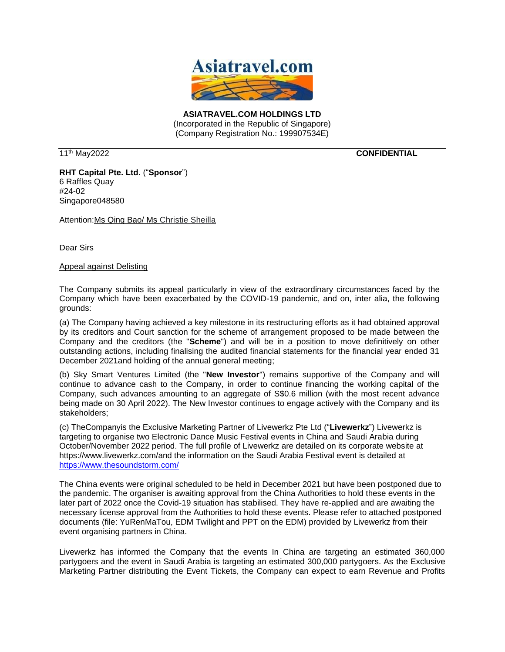

**ASIATRAVEL.COM HOLDINGS LTD** (Incorporated in the Republic of Singapore) (Company Registration No.: 199907534E)

11<sup>th</sup> May2022

th May2022 **CONFIDENTIAL**

**RHT Capital Pte. Ltd.** ("**Sponsor**") 6 Raffles Quay #24-02 Singapore048580

Attention:Ms Qing Bao/ Ms Christie Sheilla

Dear Sirs

Appeal against Delisting

The Company submits its appeal particularly in view of the extraordinary circumstances faced by the Company which have been exacerbated by the COVID-19 pandemic, and on, inter alia, the following grounds:

(a) The Company having achieved a key milestone in its restructuring efforts as it had obtained approval by its creditors and Court sanction for the scheme of arrangement proposed to be made between the Company and the creditors (the "**Scheme**") and will be in a position to move definitively on other outstanding actions, including finalising the audited financial statements for the financial year ended 31 December 2021and holding of the annual general meeting;

(b) Sky Smart Ventures Limited (the "**New Investor**") remains supportive of the Company and will continue to advance cash to the Company, in order to continue financing the working capital of the Company, such advances amounting to an aggregate of S\$0.6 million (with the most recent advance being made on 30 April 2022). The New Investor continues to engage actively with the Company and its stakeholders;

(c) TheCompanyis the Exclusive Marketing Partner of Livewerkz Pte Ltd ("**Livewerkz**") Livewerkz is targeting to organise two Electronic Dance Music Festival events in China and Saudi Arabia during October/November 2022 period. The full profile of Livewerkz are detailed on its corporate website at https://www.livewerkz.com/and the information on the Saudi Arabia Festival event is detailed at <https://www.thesoundstorm.com/>

The China events were original scheduled to be held in December 2021 but have been postponed due to the pandemic. The organiser is awaiting approval from the China Authorities to hold these events in the later part of 2022 once the Covid-19 situation has stabilised. They have re-applied and are awaiting the necessary license approval from the Authorities to hold these events. Please refer to attached postponed documents (file: YuRenMaTou, EDM Twilight and PPT on the EDM) provided by Livewerkz from their event organising partners in China.

Livewerkz has informed the Company that the events In China are targeting an estimated 360,000 partygoers and the event in Saudi Arabia is targeting an estimated 300,000 partygoers. As the Exclusive Marketing Partner distributing the Event Tickets, the Company can expect to earn Revenue and Profits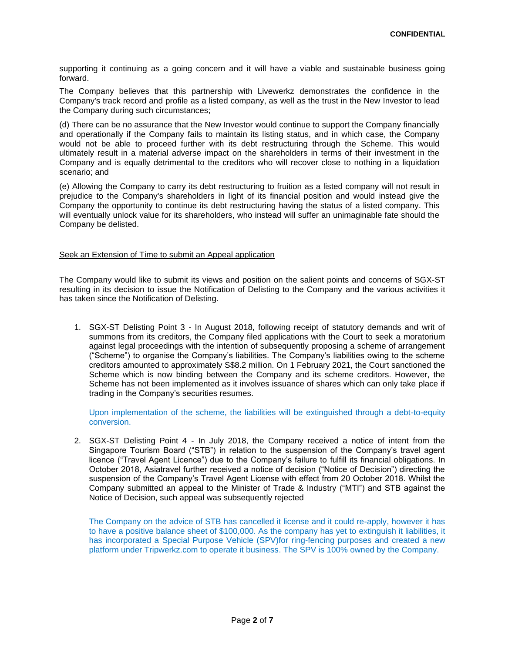supporting it continuing as a going concern and it will have a viable and sustainable business going forward.

The Company believes that this partnership with Livewerkz demonstrates the confidence in the Company's track record and profile as a listed company, as well as the trust in the New Investor to lead the Company during such circumstances;

(d) There can be no assurance that the New Investor would continue to support the Company financially and operationally if the Company fails to maintain its listing status, and in which case, the Company would not be able to proceed further with its debt restructuring through the Scheme. This would ultimately result in a material adverse impact on the shareholders in terms of their investment in the Company and is equally detrimental to the creditors who will recover close to nothing in a liquidation scenario; and

(e) Allowing the Company to carry its debt restructuring to fruition as a listed company will not result in prejudice to the Company's shareholders in light of its financial position and would instead give the Company the opportunity to continue its debt restructuring having the status of a listed company. This will eventually unlock value for its shareholders, who instead will suffer an unimaginable fate should the Company be delisted.

## Seek an Extension of Time to submit an Appeal application

The Company would like to submit its views and position on the salient points and concerns of SGX-ST resulting in its decision to issue the Notification of Delisting to the Company and the various activities it has taken since the Notification of Delisting.

1. SGX-ST Delisting Point 3 - In August 2018, following receipt of statutory demands and writ of summons from its creditors, the Company filed applications with the Court to seek a moratorium against legal proceedings with the intention of subsequently proposing a scheme of arrangement ("Scheme") to organise the Company's liabilities. The Company's liabilities owing to the scheme creditors amounted to approximately S\$8.2 million. On 1 February 2021, the Court sanctioned the Scheme which is now binding between the Company and its scheme creditors. However, the Scheme has not been implemented as it involves issuance of shares which can only take place if trading in the Company's securities resumes.

Upon implementation of the scheme, the liabilities will be extinguished through a debt-to-equity conversion.

2. SGX-ST Delisting Point 4 - In July 2018, the Company received a notice of intent from the Singapore Tourism Board ("STB") in relation to the suspension of the Company's travel agent licence ("Travel Agent Licence") due to the Company's failure to fulfill its financial obligations. In October 2018, Asiatravel further received a notice of decision ("Notice of Decision") directing the suspension of the Company's Travel Agent License with effect from 20 October 2018. Whilst the Company submitted an appeal to the Minister of Trade & Industry ("MTI") and STB against the Notice of Decision, such appeal was subsequently rejected

The Company on the advice of STB has cancelled it license and it could re-apply, however it has to have a positive balance sheet of \$100,000. As the company has yet to extinguish it liabilities, it has incorporated a Special Purpose Vehicle (SPV)for ring-fencing purposes and created a new platform under Tripwerkz.com to operate it business. The SPV is 100% owned by the Company.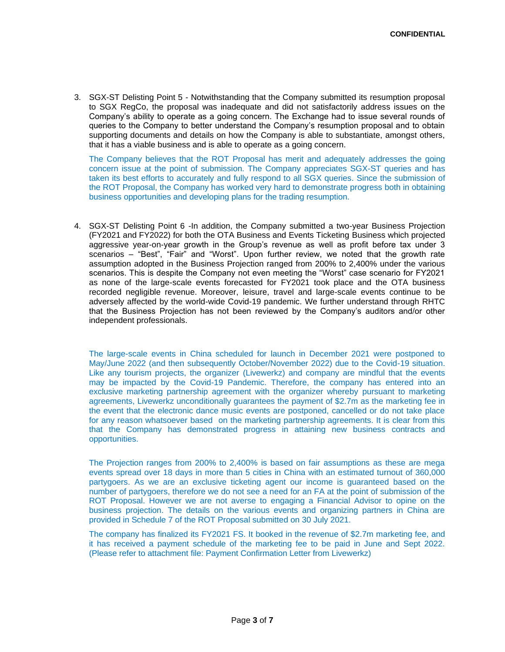3. SGX-ST Delisting Point 5 - Notwithstanding that the Company submitted its resumption proposal to SGX RegCo, the proposal was inadequate and did not satisfactorily address issues on the Company's ability to operate as a going concern. The Exchange had to issue several rounds of queries to the Company to better understand the Company's resumption proposal and to obtain supporting documents and details on how the Company is able to substantiate, amongst others, that it has a viable business and is able to operate as a going concern.

The Company believes that the ROT Proposal has merit and adequately addresses the going concern issue at the point of submission. The Company appreciates SGX-ST queries and has taken its best efforts to accurately and fully respond to all SGX queries. Since the submission of the ROT Proposal, the Company has worked very hard to demonstrate progress both in obtaining business opportunities and developing plans for the trading resumption.

4. SGX-ST Delisting Point 6 -In addition, the Company submitted a two-year Business Projection (FY2021 and FY2022) for both the OTA Business and Events Ticketing Business which projected aggressive year-on-year growth in the Group's revenue as well as profit before tax under 3 scenarios – "Best", "Fair" and "Worst". Upon further review, we noted that the growth rate assumption adopted in the Business Projection ranged from 200% to 2,400% under the various scenarios. This is despite the Company not even meeting the "Worst" case scenario for FY2021 as none of the large-scale events forecasted for FY2021 took place and the OTA business recorded negligible revenue. Moreover, leisure, travel and large-scale events continue to be adversely affected by the world-wide Covid-19 pandemic. We further understand through RHTC that the Business Projection has not been reviewed by the Company's auditors and/or other independent professionals.

The large-scale events in China scheduled for launch in December 2021 were postponed to May/June 2022 (and then subsequently October/November 2022) due to the Covid-19 situation. Like any tourism projects, the organizer (Livewerkz) and company are mindful that the events may be impacted by the Covid-19 Pandemic. Therefore, the company has entered into an exclusive marketing partnership agreement with the organizer whereby pursuant to marketing agreements, Livewerkz unconditionally guarantees the payment of \$2.7m as the marketing fee in the event that the electronic dance music events are postponed, cancelled or do not take place for any reason whatsoever based on the marketing partnership agreements. It is clear from this that the Company has demonstrated progress in attaining new business contracts and opportunities.

The Projection ranges from 200% to 2,400% is based on fair assumptions as these are mega events spread over 18 days in more than 5 cities in China with an estimated turnout of 360,000 partygoers. As we are an exclusive ticketing agent our income is guaranteed based on the number of partygoers, therefore we do not see a need for an FA at the point of submission of the ROT Proposal. However we are not averse to engaging a Financial Advisor to opine on the business projection. The details on the various events and organizing partners in China are provided in Schedule 7 of the ROT Proposal submitted on 30 July 2021.

The company has finalized its FY2021 FS. It booked in the revenue of \$2.7m marketing fee, and it has received a payment schedule of the marketing fee to be paid in June and Sept 2022. (Please refer to attachment file: Payment Confirmation Letter from Livewerkz)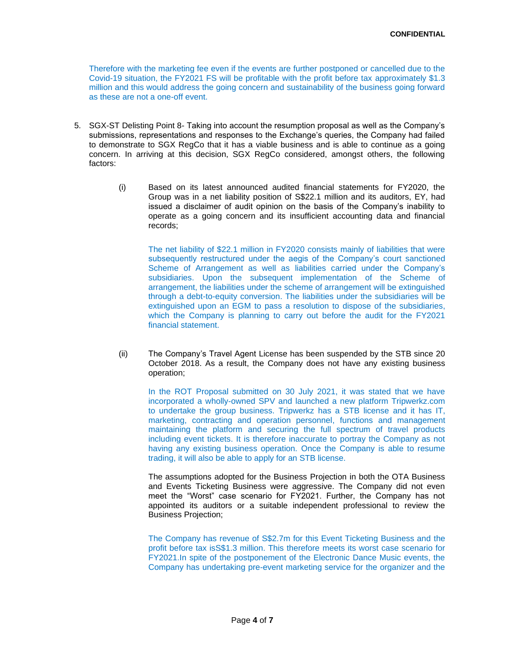Therefore with the marketing fee even if the events are further postponed or cancelled due to the Covid-19 situation, the FY2021 FS will be profitable with the profit before tax approximately \$1.3 million and this would address the going concern and sustainability of the business going forward as these are not a one-off event.

- 5. SGX-ST Delisting Point 8- Taking into account the resumption proposal as well as the Company's submissions, representations and responses to the Exchange's queries, the Company had failed to demonstrate to SGX RegCo that it has a viable business and is able to continue as a going concern. In arriving at this decision, SGX RegCo considered, amongst others, the following factors:
	- (i) Based on its latest announced audited financial statements for FY2020, the Group was in a net liability position of S\$22.1 million and its auditors, EY, had issued a disclaimer of audit opinion on the basis of the Company's inability to operate as a going concern and its insufficient accounting data and financial records;

The net liability of \$22.1 million in FY2020 consists mainly of liabilities that were subsequently restructured under the aegis of the Company's court sanctioned Scheme of Arrangement as well as liabilities carried under the Company's subsidiaries. Upon the subsequent implementation of the Scheme of arrangement, the liabilities under the scheme of arrangement will be extinguished through a debt-to-equity conversion. The liabilities under the subsidiaries will be extinguished upon an EGM to pass a resolution to dispose of the subsidiaries, which the Company is planning to carry out before the audit for the FY2021 financial statement.

(ii) The Company's Travel Agent License has been suspended by the STB since 20 October 2018. As a result, the Company does not have any existing business operation;

In the ROT Proposal submitted on 30 July 2021, it was stated that we have incorporated a wholly-owned SPV and launched a new platform Tripwerkz.com to undertake the group business. Tripwerkz has a STB license and it has IT, marketing, contracting and operation personnel, functions and management maintaining the platform and securing the full spectrum of travel products including event tickets. It is therefore inaccurate to portray the Company as not having any existing business operation. Once the Company is able to resume trading, it will also be able to apply for an STB license.

The assumptions adopted for the Business Projection in both the OTA Business and Events Ticketing Business were aggressive. The Company did not even meet the "Worst" case scenario for FY2021. Further, the Company has not appointed its auditors or a suitable independent professional to review the Business Projection;

The Company has revenue of S\$2.7m for this Event Ticketing Business and the profit before tax isS\$1.3 million. This therefore meets its worst case scenario for FY2021.In spite of the postponement of the Electronic Dance Music events, the Company has undertaking pre-event marketing service for the organizer and the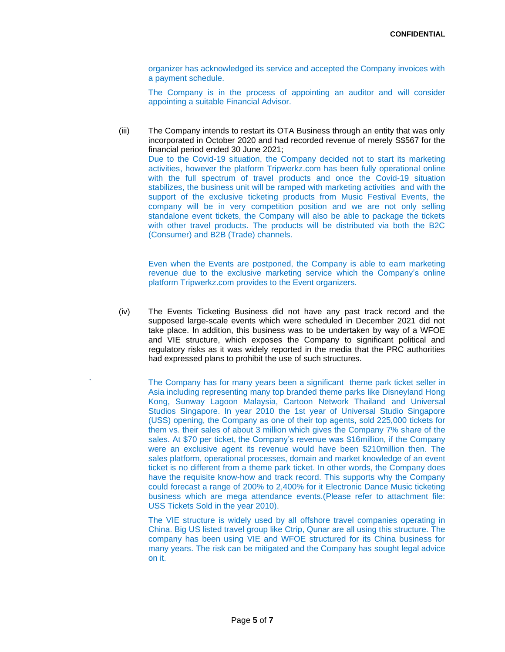organizer has acknowledged its service and accepted the Company invoices with a payment schedule.

The Company is in the process of appointing an auditor and will consider appointing a suitable Financial Advisor.

(iii) The Company intends to restart its OTA Business through an entity that was only incorporated in October 2020 and had recorded revenue of merely S\$567 for the financial period ended 30 June 2021; Due to the Covid-19 situation, the Company decided not to start its marketing activities, however the platform Tripwerkz.com has been fully operational online with the full spectrum of travel products and once the Covid-19 situation stabilizes, the business unit will be ramped with marketing activities and with the support of the exclusive ticketing products from Music Festival Events, the company will be in very competition position and we are not only selling standalone event tickets, the Company will also be able to package the tickets with other travel products. The products will be distributed via both the B2C (Consumer) and B2B (Trade) channels.

Even when the Events are postponed, the Company is able to earn marketing revenue due to the exclusive marketing service which the Company's online platform Tripwerkz.com provides to the Event organizers.

(iv) The Events Ticketing Business did not have any past track record and the supposed large-scale events which were scheduled in December 2021 did not take place. In addition, this business was to be undertaken by way of a WFOE and VIE structure, which exposes the Company to significant political and regulatory risks as it was widely reported in the media that the PRC authorities had expressed plans to prohibit the use of such structures.

The Company has for many years been a significant theme park ticket seller in Asia including representing many top branded theme parks like Disneyland Hong Kong, Sunway Lagoon Malaysia, Cartoon Network Thailand and Universal Studios Singapore. In year 2010 the 1st year of Universal Studio Singapore (USS) opening, the Company as one of their top agents, sold 225,000 tickets for them vs. their sales of about 3 million which gives the Company 7% share of the sales. At \$70 per ticket, the Company's revenue was \$16million, if the Company were an exclusive agent its revenue would have been \$210million then. The sales platform, operational processes, domain and market knowledge of an event ticket is no different from a theme park ticket. In other words, the Company does have the requisite know-how and track record. This supports why the Company could forecast a range of 200% to 2,400% for it Electronic Dance Music ticketing business which are mega attendance events.(Please refer to attachment file: USS Tickets Sold in the year 2010).

The VIE structure is widely used by all offshore travel companies operating in China. Big US listed travel group like Ctrip, Qunar are all using this structure. The company has been using VIE and WFOE structured for its China business for many years. The risk can be mitigated and the Company has sought legal advice on it.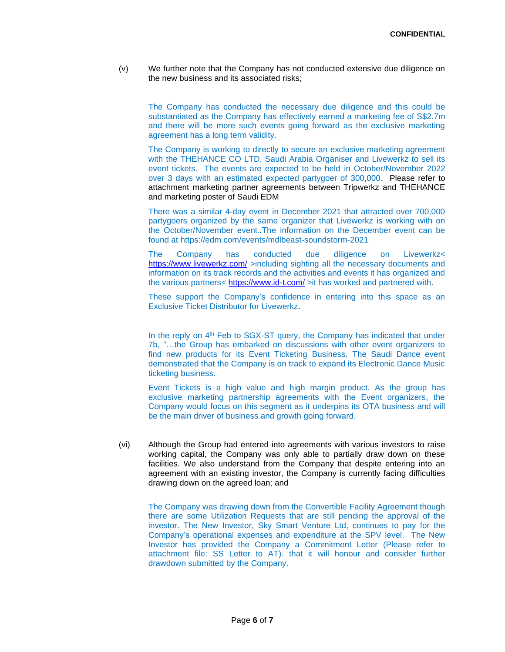(v) We further note that the Company has not conducted extensive due diligence on the new business and its associated risks;

The Company has conducted the necessary due diligence and this could be substantiated as the Company has effectively earned a marketing fee of S\$2.7m and there will be more such events going forward as the exclusive marketing agreement has a long term validity.

The Company is working to directly to secure an exclusive marketing agreement with the THEHANCE CO LTD, Saudi Arabia Organiser and Livewerkz to sell its event tickets. The events are expected to be held in October/November 2022 over 3 days with an estimated expected partygoer of 300,000. Please refer to attachment marketing partner agreements between Tripwerkz and THEHANCE and marketing poster of Saudi EDM

There was a similar 4-day event in December 2021 that attracted over 700,000 partygoers organized by the same organizer that Livewerkz is working with on the October/November event..The information on the December event can be found at https://edm.com/events/mdlbeast-soundstorm-2021

The Company has conducted due diligence on Livewerkz< <https://www.livewerkz.com/> >including sighting all the necessary documents and information on its track records and the activities and events it has organized and the various partners< <https://www.id-t.com/> >it has worked and partnered with.

These support the Company's confidence in entering into this space as an Exclusive Ticket Distributor for Livewerkz.

In the reply on 4<sup>th</sup> Feb to SGX-ST query, the Company has indicated that under 7b, "…the Group has embarked on discussions with other event organizers to find new products for its Event Ticketing Business. The Saudi Dance event demonstrated that the Company is on track to expand its Electronic Dance Music ticketing business.

Event Tickets is a high value and high margin product. As the group has exclusive marketing partnership agreements with the Event organizers, the Company would focus on this segment as it underpins its OTA business and will be the main driver of business and growth going forward.

(vi) Although the Group had entered into agreements with various investors to raise working capital, the Company was only able to partially draw down on these facilities. We also understand from the Company that despite entering into an agreement with an existing investor, the Company is currently facing difficulties drawing down on the agreed loan; and

The Company was drawing down from the Convertible Facility Agreement though there are some Utilization Requests that are still pending the approval of the investor. The New Investor, Sky Smart Venture Ltd, continues to pay for the Company's operational expenses and expenditure at the SPV level. The New Investor has provided the Company a Commitment Letter (Please refer to attachment file: SS Letter to AT). that it will honour and consider further drawdown submitted by the Company.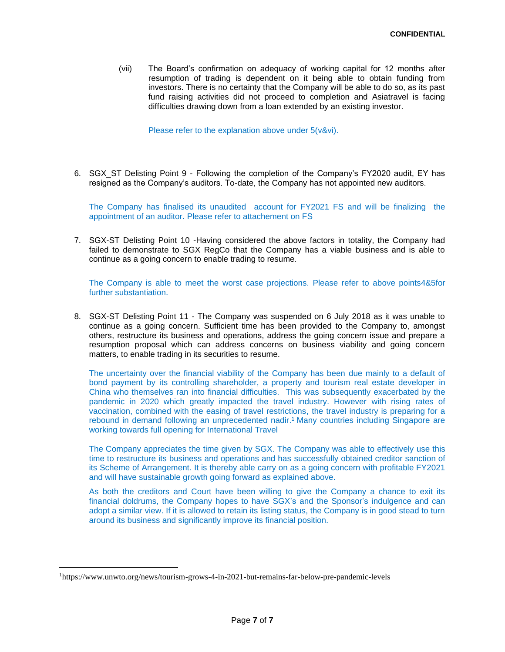(vii) The Board's confirmation on adequacy of working capital for 12 months after resumption of trading is dependent on it being able to obtain funding from investors. There is no certainty that the Company will be able to do so, as its past fund raising activities did not proceed to completion and Asiatravel is facing difficulties drawing down from a loan extended by an existing investor.

Please refer to the explanation above under 5(v&vi).

6. SGX\_ST Delisting Point 9 - Following the completion of the Company's FY2020 audit, EY has resigned as the Company's auditors. To-date, the Company has not appointed new auditors.

The Company has finalised its unaudited account for FY2021 FS and will be finalizing the appointment of an auditor. Please refer to attachement on FS

7. SGX-ST Delisting Point 10 -Having considered the above factors in totality, the Company had failed to demonstrate to SGX RegCo that the Company has a viable business and is able to continue as a going concern to enable trading to resume.

The Company is able to meet the worst case projections. Please refer to above points4&5for further substantiation.

8. SGX-ST Delisting Point 11 - The Company was suspended on 6 July 2018 as it was unable to continue as a going concern. Sufficient time has been provided to the Company to, amongst others, restructure its business and operations, address the going concern issue and prepare a resumption proposal which can address concerns on business viability and going concern matters, to enable trading in its securities to resume.

The uncertainty over the financial viability of the Company has been due mainly to a default of bond payment by its controlling shareholder, a property and tourism real estate developer in China who themselves ran into financial difficulties. This was subsequently exacerbated by the pandemic in 2020 which greatly impacted the travel industry. However with rising rates of vaccination, combined with the easing of travel restrictions, the travel industry is preparing for a rebound in demand following an unprecedented nadir. <sup>1</sup> Many countries including Singapore are working towards full opening for International Travel

The Company appreciates the time given by SGX. The Company was able to effectively use this time to restructure its business and operations and has successfully obtained creditor sanction of its Scheme of Arrangement. It is thereby able carry on as a going concern with profitable FY2021 and will have sustainable growth going forward as explained above.

As both the creditors and Court have been willing to give the Company a chance to exit its financial doldrums, the Company hopes to have SGX's and the Sponsor's indulgence and can adopt a similar view. If it is allowed to retain its listing status, the Company is in good stead to turn around its business and significantly improve its financial position.

<sup>1</sup>https://www.unwto.org/news/tourism-grows-4-in-2021-but-remains-far-below-pre-pandemic-levels